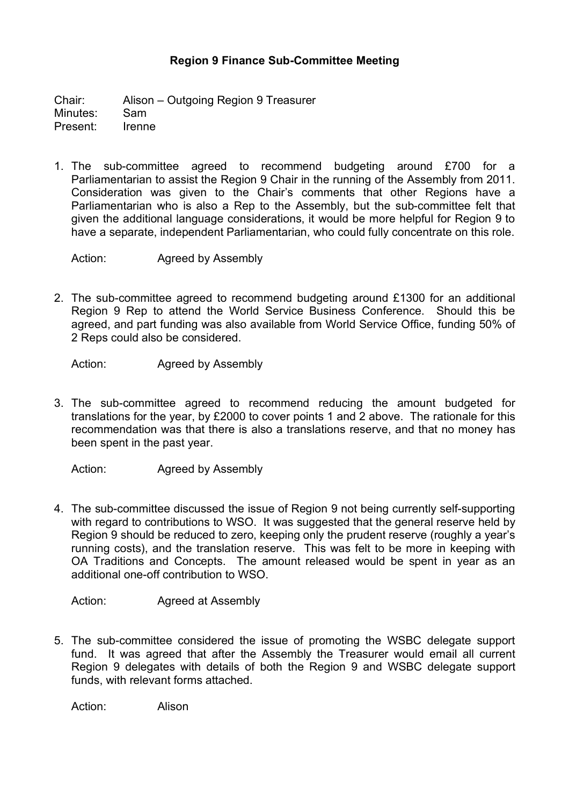## **Region 9 Finance Sub-Committee Meeting**

Chair: Alison – Outgoing Region 9 Treasurer Minutes: Sam Present: Irenne

1. The sub-committee agreed to recommend budgeting around £700 for a Parliamentarian to assist the Region 9 Chair in the running of the Assembly from 2011. Consideration was given to the Chair's comments that other Regions have a Parliamentarian who is also a Rep to the Assembly, but the sub-committee felt that given the additional language considerations, it would be more helpful for Region 9 to have a separate, independent Parliamentarian, who could fully concentrate on this role.

Action: Agreed by Assembly

2. The sub-committee agreed to recommend budgeting around £1300 for an additional Region 9 Rep to attend the World Service Business Conference. Should this be agreed, and part funding was also available from World Service Office, funding 50% of 2 Reps could also be considered.

Action: Agreed by Assembly

3. The sub-committee agreed to recommend reducing the amount budgeted for translations for the year, by £2000 to cover points 1 and 2 above. The rationale for this recommendation was that there is also a translations reserve, and that no money has been spent in the past year.

Action: Agreed by Assembly

4. The sub-committee discussed the issue of Region 9 not being currently self-supporting with regard to contributions to WSO. It was suggested that the general reserve held by Region 9 should be reduced to zero, keeping only the prudent reserve (roughly a year's running costs), and the translation reserve. This was felt to be more in keeping with OA Traditions and Concepts. The amount released would be spent in year as an additional one-off contribution to WSO.

Action: Agreed at Assembly

5. The sub-committee considered the issue of promoting the WSBC delegate support fund. It was agreed that after the Assembly the Treasurer would email all current Region 9 delegates with details of both the Region 9 and WSBC delegate support funds, with relevant forms attached.

Action: Alison